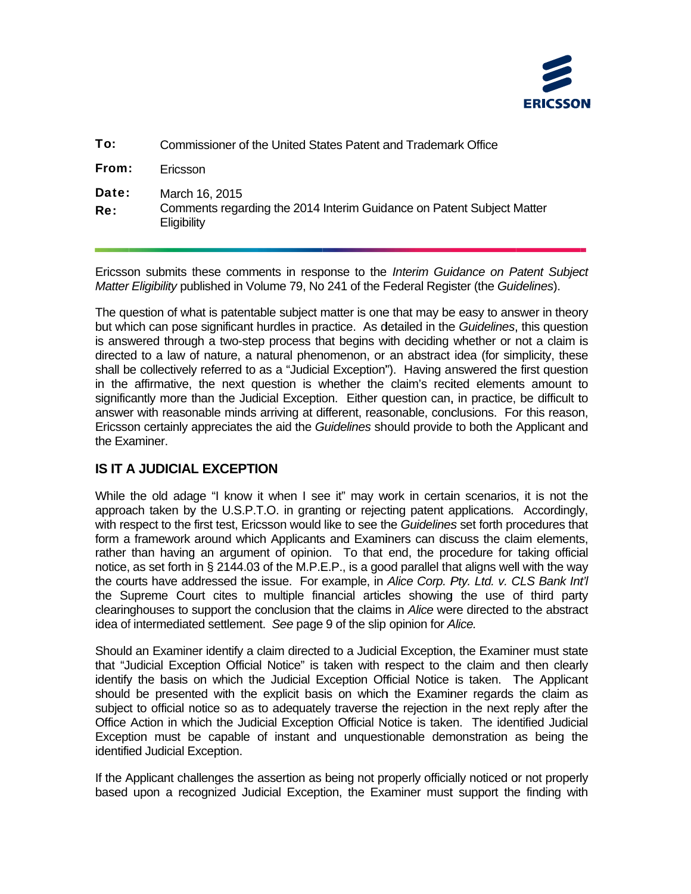

| To:          | Commissioner of the United States Patent and Trademark Office                                          |
|--------------|--------------------------------------------------------------------------------------------------------|
| From:        | Ericsson                                                                                               |
| Date:<br>Re: | March 16, 2015<br>Comments regarding the 2014 Interim Guidance on Patent Subject Matter<br>Eligibility |

*r Matter Eligibility* published in Volume 79, No 241 of the Federal Register (the *Guidelines*). Ericsson submits these comments in response to the *Interim Guidance on Patent Subject* 

The question of what is patentable subject matter is one that may be easy to answer in theory but which can pose significant hurdles in practice. As detailed in the *Guidelines*, this question is answered through a two-step process that begins with deciding whether or not a claim is directed to a law of nature, a natural phenomenon, or an abstract idea (for simplicity, these shall be collectively referred to as a "Judicial Exception"). Having answered the first question in the affirmative, the next question is whether the claim's recited elements amount to significantly more than the Judicial Exception. Either question can, in practice, be difficult to answer with reasonable minds arriving at different, reasonable, conclusions. For this reason, Ericsson certainly appreciates the aid the *Guidelines* should provide to both the Applicant and the Examiner.

## **IS IT A JUDICIAL EXCEPTION**

the courts have addressed the issue. For example, in *Alice Corp. Pty. Ltd. v. CLS Bank Int'l* While the old adage "I know it when I see it" may work in certain scenarios, it is not the approach taken by the U.S.P.T.O. in granting or rejecting patent applications. Accordingly, with respect to the first test, Ericsson would like to see the *Guidelines* set forth procedures that form a framework around which Applicants and Examiners can discuss the claim elements, rather than having an argument of opinion. To that end, the procedure for taking official notice, as set forth in § 2144.03 of the M.P.E.P., is a good parallel that aligns well with the way the Supreme Court cites to multiple financial articles showing the use of third party clearinghouses to support the conclusion that the claims in *Alice* were directed to the abstract idea of intermediated settlement. *See* page 9 of the slip opinion for *Alice.* 

identify the basis on which the Judicial Exception Official Notice is taken. The Applicant Should an Examiner identify a claim directed to a Judicial Exception, the Examiner must state that "Judicial Exception Official Notice" is taken with respect to the claim and then clearly should be presented with the explicit basis on which the Examiner regards the claim as subject to official notice so as to adequately traverse the rejection in the next reply after the Office Action in which the Judicial Exception Official Notice is taken. The identified Judicial Exception must be capable of instant and unquestionable demonstration as being the identified Judicial Exception.

If the Applicant challenges the assertion as being not properly officially noticed or not properly based upon a recognized Judicial Exception, the Examiner must support the finding with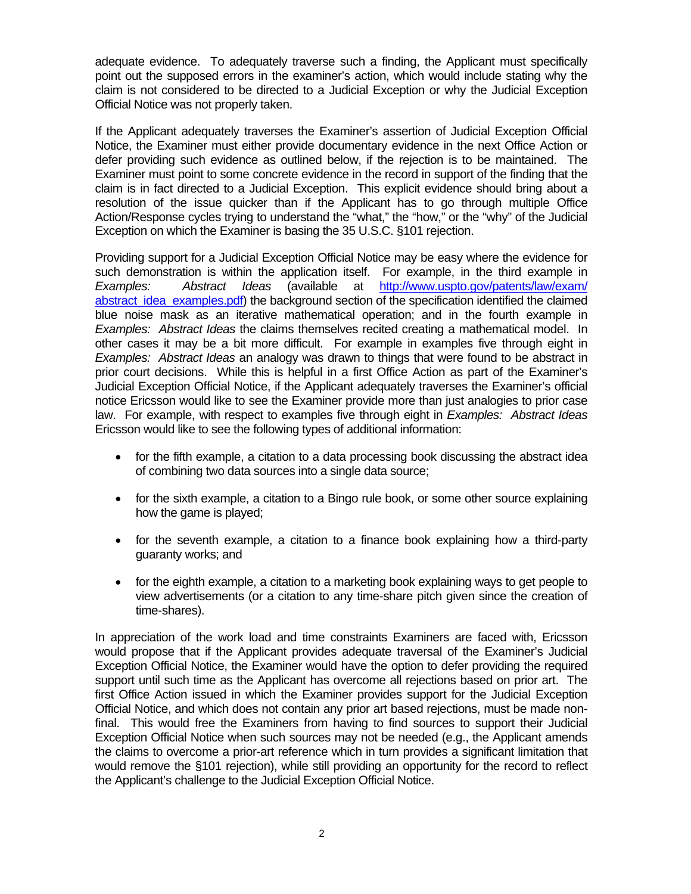Official Notice was not properly taken. adequate evidence. To adequately traverse such a finding, the Applicant must specifically point out the supposed errors in the examiner's action, which would include stating why the claim is not considered to be directed to a Judicial Exception or why the Judicial Exception

 claim is in fact directed to a Judicial Exception. This explicit evidence should bring about a If the Applicant adequately traverses the Examiner's assertion of Judicial Exception Official Notice, the Examiner must either provide documentary evidence in the next Office Action or defer providing such evidence as outlined below, if the rejection is to be maintained. The Examiner must point to some concrete evidence in the record in support of the finding that the resolution of the issue quicker than if the Applicant has to go through multiple Office Action/Response cycles trying to understand the "what," the "how," or the "why" of the Judicial Exception on which the Examiner is basing the 35 U.S.C. §101 rejection.

Providing support for a Judicial Exception Official Notice may be easy where the evidence for such demonstration is within the application itself. For example, in the third example in *Examples: Abstract Ideas* (available at http://www.uspto.gov/patents/law/exam/ abstract idea examples.pdf) the background section of the specification identified the claimed blue noise mask as an iterative mathematical operation; and in the fourth example in *Examples: Abstract Ideas* the claims themselves recited creating a mathematical model. In other cases it may be a bit more difficult. For example in examples five through eight in *Examples: Abstract Ideas* an analogy was drawn to things that were found to be abstract in prior court decisions. While this is helpful in a first Office Action as part of the Examiner's Judicial Exception Official Notice, if the Applicant adequately traverses the Examiner's official notice Ericsson would like to see the Examiner provide more than just analogies to prior case law. For example, with respect to examples five through eight in *Examples: Abstract Ideas*  Ericsson would like to see the following types of additional information:

- of combining two data sources into a single data source; • for the fifth example, a citation to a data processing book discussing the abstract idea
- for the sixth example, a citation to a Bingo rule book, or some other source explaining how the game is played;
- for the seventh example, a citation to a finance book explaining how a third-party guaranty works; and
- for the eighth example, a citation to a marketing book explaining ways to get people to view advertisements (or a citation to any time-share pitch given since the creation of time-shares).

In appreciation of the work load and time constraints Examiners are faced with, Ericsson would propose that if the Applicant provides adequate traversal of the Examiner's Judicial Exception Official Notice, the Examiner would have the option to defer providing the required support until such time as the Applicant has overcome all rejections based on prior art. The first Office Action issued in which the Examiner provides support for the Judicial Exception Official Notice, and which does not contain any prior art based rejections, must be made nonfinal. This would free the Examiners from having to find sources to support their Judicial Exception Official Notice when such sources may not be needed (e.g., the Applicant amends the claims to overcome a prior-art reference which in turn provides a significant limitation that would remove the §101 rejection), while still providing an opportunity for the record to reflect the Applicant's challenge to the Judicial Exception Official Notice.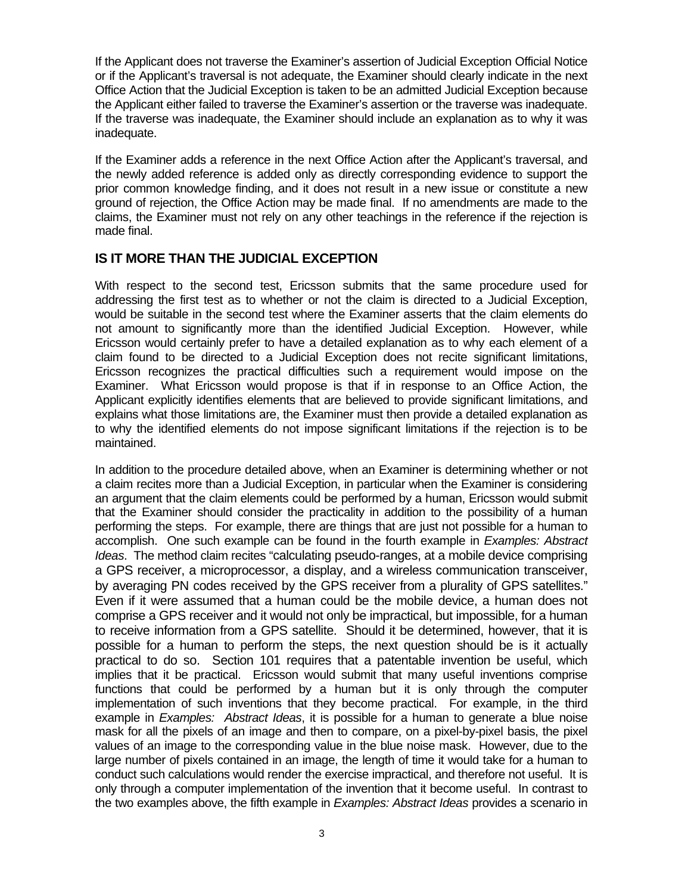If the Applicant does not traverse the Examiner's assertion of Judicial Exception Official Notice or if the Applicant's traversal is not adequate, the Examiner should clearly indicate in the next Office Action that the Judicial Exception is taken to be an admitted Judicial Exception because the Applicant either failed to traverse the Examiner's assertion or the traverse was inadequate. If the traverse was inadequate, the Examiner should include an explanation as to why it was inadequate.

 prior common knowledge finding, and it does not result in a new issue or constitute a new If the Examiner adds a reference in the next Office Action after the Applicant's traversal, and the newly added reference is added only as directly corresponding evidence to support the ground of rejection, the Office Action may be made final. If no amendments are made to the claims, the Examiner must not rely on any other teachings in the reference if the rejection is made final.

## **IS IT MORE THAN THE JUDICIAL EXCEPTION**

With respect to the second test, Ericsson submits that the same procedure used for addressing the first test as to whether or not the claim is directed to a Judicial Exception, would be suitable in the second test where the Examiner asserts that the claim elements do not amount to significantly more than the identified Judicial Exception. However, while Ericsson would certainly prefer to have a detailed explanation as to why each element of a claim found to be directed to a Judicial Exception does not recite significant limitations, Ericsson recognizes the practical difficulties such a requirement would impose on the Examiner. What Ericsson would propose is that if in response to an Office Action, the Applicant explicitly identifies elements that are believed to provide significant limitations, and explains what those limitations are, the Examiner must then provide a detailed explanation as to why the identified elements do not impose significant limitations if the rejection is to be maintained.

In addition to the procedure detailed above, when an Examiner is determining whether or not a claim recites more than a Judicial Exception, in particular when the Examiner is considering an argument that the claim elements could be performed by a human, Ericsson would submit that the Examiner should consider the practicality in addition to the possibility of a human performing the steps. For example, there are things that are just not possible for a human to accomplish. One such example can be found in the fourth example in *Examples: Abstract Ideas*. The method claim recites "calculating pseudo-ranges, at a mobile device comprising a GPS receiver, a microprocessor, a display, and a wireless communication transceiver, by averaging PN codes received by the GPS receiver from a plurality of GPS satellites." Even if it were assumed that a human could be the mobile device, a human does not comprise a GPS receiver and it would not only be impractical, but impossible, for a human to receive information from a GPS satellite. Should it be determined, however, that it is possible for a human to perform the steps, the next question should be is it actually practical to do so. Section 101 requires that a patentable invention be useful, which implies that it be practical. Ericsson would submit that many useful inventions comprise functions that could be performed by a human but it is only through the computer implementation of such inventions that they become practical. For example, in the third example in *Examples: Abstract Ideas*, it is possible for a human to generate a blue noise mask for all the pixels of an image and then to compare, on a pixel-by-pixel basis, the pixel values of an image to the corresponding value in the blue noise mask. However, due to the large number of pixels contained in an image, the length of time it would take for a human to conduct such calculations would render the exercise impractical, and therefore not useful. It is only through a computer implementation of the invention that it become useful. In contrast to the two examples above, the fifth example in *Examples: Abstract Ideas* provides a scenario in